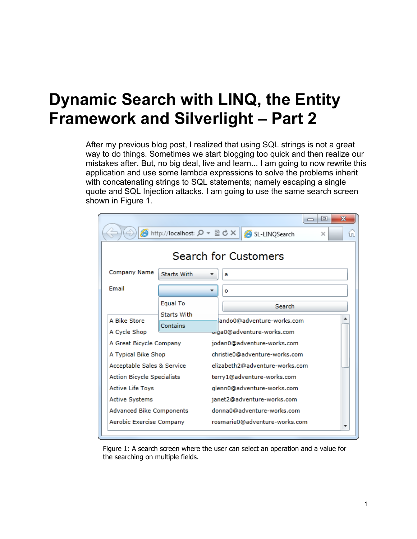## **Dynamic Search with LINQ, the Entity Framework and Silverlight – Part 2**

After my previous blog post, I realized that using SQL strings is not a great way to do things. Sometimes we start blogging too quick and then realize our mistakes after. But, no big deal, live and learn... I am going to now rewrite this application and use some lambda expressions to solve the problems inherit with concatenating strings to SQL statements; namely escaping a single quote and SQL Injection attacks. I am going to use the same search screen shown in Figure 1.

|                                                  |                                |   |                                |                                                                       |        |  | $\qquad \qquad \blacksquare$ | х |     |
|--------------------------------------------------|--------------------------------|---|--------------------------------|-----------------------------------------------------------------------|--------|--|------------------------------|---|-----|
| ● http://localhost: ρ - ⊠ ♂ ×  <br>SL-LINQSearch |                                |   |                                |                                                                       |        |  | $\times$                     |   | íпÌ |
| Search for Customers                             |                                |   |                                |                                                                       |        |  |                              |   |     |
| Company Name                                     | Starts With                    |   | a                              |                                                                       |        |  |                              |   |     |
| Email                                            |                                | ▼ | ۰                              |                                                                       |        |  |                              |   |     |
|                                                  | Equal To<br><b>Starts With</b> |   |                                |                                                                       | Search |  |                              |   |     |
| A Bike Store<br>A Cycle Shop                     | Contains                       |   |                                | lando0@adventure-works.com<br><del>ত</del> াব্বa0@adventure-works.com |        |  |                              |   |     |
| A Great Bicycle Company                          |                                |   |                                | jodan0@adventure-works.com                                            |        |  |                              |   |     |
| A Typical Bike Shop                              |                                |   | christie0@adventure-works.com  |                                                                       |        |  |                              |   |     |
| Acceptable Sales & Service                       |                                |   | elizabeth2@adventure-works.com |                                                                       |        |  |                              |   |     |
| <b>Action Bicycle Specialists</b>                |                                |   | terry1@adventure-works.com     |                                                                       |        |  |                              |   |     |
| Active Life Toys                                 |                                |   | glenn0@adventure-works.com     |                                                                       |        |  |                              |   |     |
| Active Systems                                   |                                |   | janet2@adventure-works.com     |                                                                       |        |  |                              |   |     |
| Advanced Bike Components                         |                                |   | donna0@adventure-works.com     |                                                                       |        |  |                              |   |     |
| Aerobic Exercise Company                         |                                |   | rosmarie0@adventure-works.com  |                                                                       |        |  |                              |   |     |

Figure 1: A search screen where the user can select an operation and a value for the searching on multiple fields.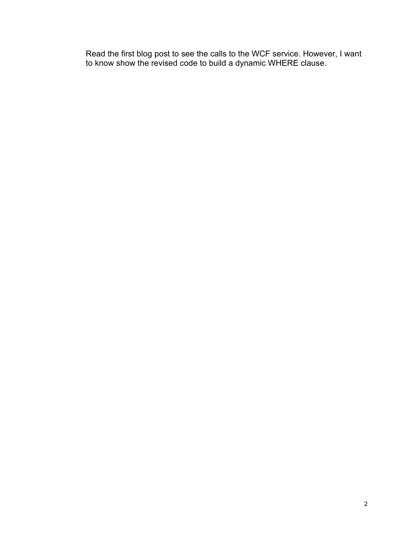Read the first blog post to see the calls to the WCF service. However, I want to know show the revised code to build a dynamic WHERE clause.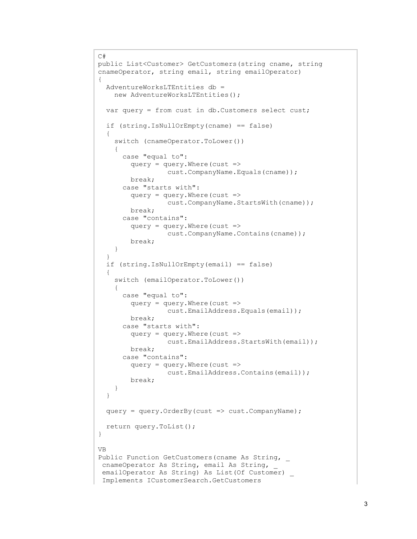```
C#
public List<Customer> GetCustomers(string cname, string 
cnameOperator, string email, string emailOperator)
{
  AdventureWorksLTEntities db = 
    new AdventureWorksLTEntities();
  var query = from cust in db.Customers select cust;
   if (string.IsNullOrEmpty(cname) == false)
   {
     switch (cnameOperator.ToLower())
     {
       case "equal to":
         query = query.Where(cust => 
                   cust.CompanyName.Equals(cname));
         break;
       case "starts with":
         query = query.Where(cust => 
                   cust.CompanyName.StartsWith(cname));
         break;
       case "contains":
        query = query. Where (cust =>
                   cust.CompanyName.Contains(cname));
         break;
     }
   }
   if (string.IsNullOrEmpty(email) == false)
   {
     switch (emailOperator.ToLower())
     {
       case "equal to":
        query = query. Where (cust =>
                   cust.EmailAddress.Equals(email));
         break;
       case "starts with":
        query = query. Where (cust =>
                   cust.EmailAddress.StartsWith(email));
         break;
       case "contains":
        query = query. Where (cust =>
                   cust.EmailAddress.Contains(email));
         break;
     }
   }
   query = query.OrderBy(cust => cust.CompanyName);
   return query.ToList();
}
VB
Public Function GetCustomers(cname As String, _
cnameOperator As String, email As String,
 emailOperator As String) As List(Of Customer)
 Implements ICustomerSearch.GetCustomers
```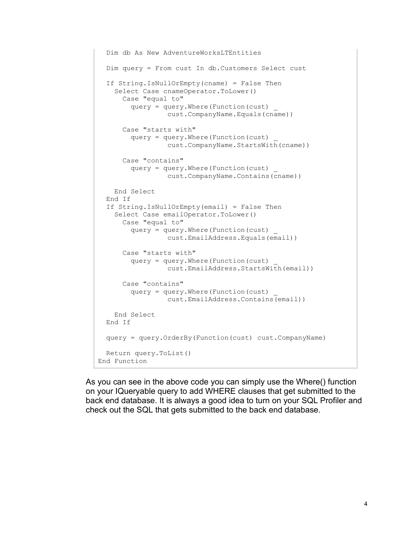```
 Dim db As New AdventureWorksLTEntities
   Dim query = From cust In db.Customers Select cust
  If String.IsNullOrEmpty(cname) = False Then
     Select Case cnameOperator.ToLower()
       Case "equal to"
         query = query.Where(Function(cust) _
                   cust.CompanyName.Equals(cname))
       Case "starts with"
         query = query.Where(Function(cust) _
                   cust.CompanyName.StartsWith(cname))
       Case "contains"
         query = query.Where(Function(cust) _
                   cust.CompanyName.Contains(cname))
     End Select
   End If
   If String.IsNullOrEmpty(email) = False Then
     Select Case emailOperator.ToLower()
       Case "equal to"
         query = query.Where(Function(cust) _
                  cust.EmailAddress.Equals(email))
       Case "starts with"
         query = query.Where(Function(cust) _
                   cust.EmailAddress.StartsWith(email))
       Case "contains"
         query = query.Where(Function(cust) _
                  cust.EmailAddress.Contains(email))
    End Select
   End If
  query = query.OrderBy(Function(cust) cust.CompanyName)
  Return query.ToList()
End Function
```
As you can see in the above code you can simply use the Where() function on your IQueryable query to add WHERE clauses that get submitted to the back end database. It is always a good idea to turn on your SQL Profiler and check out the SQL that gets submitted to the back end database.